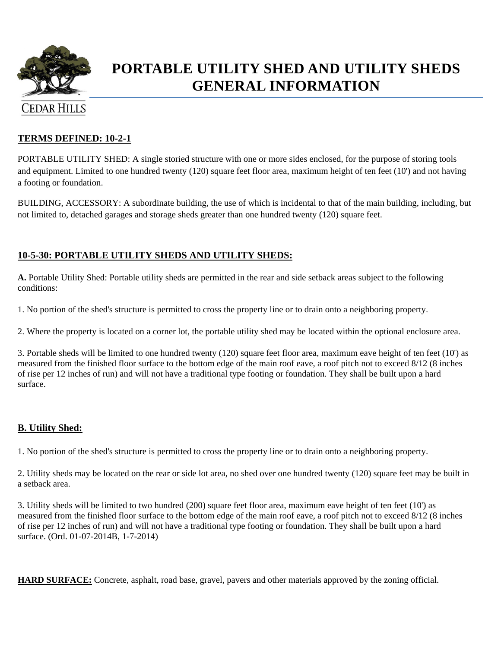

# **PORTABLE UTILITY SHED AND UTILITY SHEDS GENERAL INFORMATION**

#### **TERMS DEFINED: 10-2-1**

PORTABLE UTILITY SHED: A single storied structure with one or more sides enclosed, for the purpose of storing tools and equipment. Limited to one hundred twenty (120) square feet floor area, maximum height of ten feet (10') and not having a footing or foundation.

BUILDING, ACCESSORY: A subordinate building, the use of which is incidental to that of the main building, including, but not limited to, detached garages and storage sheds greater than one hundred twenty (120) square feet.

#### **10-5-30: PORTABLE UTILITY SHEDS AND UTILITY SHEDS:**

**A.** Portable Utility Shed: Portable utility sheds are permitted in the rear and side setback areas subject to the following conditions:

1. No portion of the shed's structure is permitted to cross the property line or to drain onto a neighboring property.

2. Where the property is located on a corner lot, the portable utility shed may be located within the optional enclosure area.

3. Portable sheds will be limited to one hundred twenty (120) square feet floor area, maximum eave height of ten feet (10') as measured from the finished floor surface to the bottom edge of the main roof eave, a roof pitch not to exceed 8/12 (8 inches of rise per 12 inches of run) and will not have a traditional type footing or foundation. They shall be built upon a hard surface.

#### **B. Utility Shed:**

1. No portion of the shed's structure is permitted to cross the property line or to drain onto a neighboring property.

2. Utility sheds may be located on the rear or side lot area, no shed over one hundred twenty (120) square feet may be built in a setback area.

3. Utility sheds will be limited to two hundred (200) square feet floor area, maximum eave height of ten feet (10') as measured from the finished floor surface to the bottom edge of the main roof eave, a roof pitch not to exceed 8/12 (8 inches of rise per 12 inches of run) and will not have a traditional type footing or foundation. They shall be built upon a hard surface. (Ord. 01-07-2014B, 1-7-2014)

**HARD SURFACE:** Concrete, asphalt, road base, gravel, pavers and other materials approved by the zoning official.